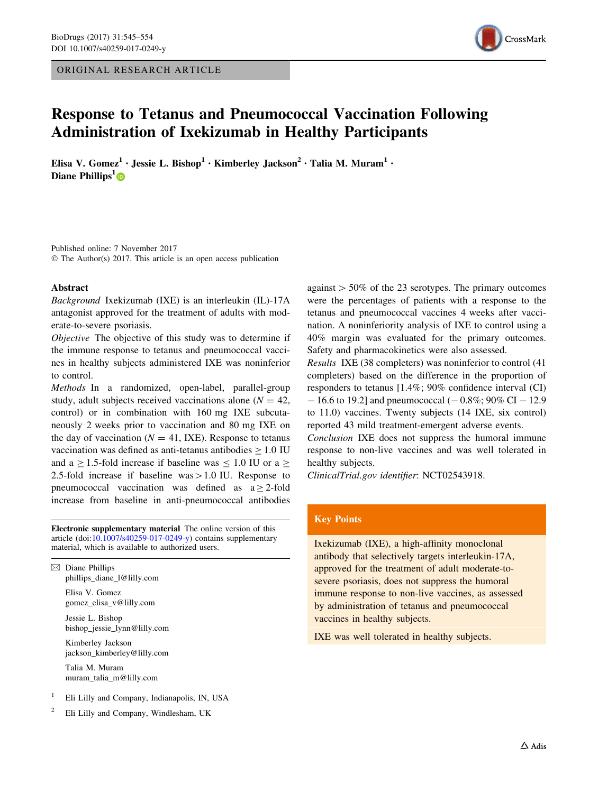ORIGINAL RESEARCH ARTICLE



# Response to Tetanus and Pneumococcal Vaccination Following Administration of Ixekizumab in Healthy Participants

Elisa V. Gomez<sup>1</sup> · Jessie L. Bishop<sup>1</sup> · Kimberley Jackson<sup>2</sup> · Talia M. Muram<sup>1</sup> · Diane Phillips<sup>1</sup> $\bullet$ 

Published online: 7 November 2017 © The Author(s) 2017. This article is an open access publication

#### Abstract

Background Ixekizumab (IXE) is an interleukin (IL)-17A antagonist approved for the treatment of adults with moderate-to-severe psoriasis.

Objective The objective of this study was to determine if the immune response to tetanus and pneumococcal vaccines in healthy subjects administered IXE was noninferior to control.

Methods In a randomized, open-label, parallel-group study, adult subjects received vaccinations alone ( $N = 42$ , control) or in combination with 160 mg IXE subcutaneously 2 weeks prior to vaccination and 80 mg IXE on the day of vaccination ( $N = 41$ , IXE). Response to tetanus vaccination was defined as anti-tetanus antibodies  $\geq 1.0$  IU and a  $\geq$  1.5-fold increase if baseline was  $\leq$  1.0 IU or a  $\geq$ 2.5-fold increase if baseline was  $>1.0$  IU. Response to pneumococcal vaccination was defined as  $a \ge 2$ -fold increase from baseline in anti-pneumococcal antibodies

Electronic supplementary material The online version of this article  $(doi:10.1007/s40259-017-0249-y)$  $(doi:10.1007/s40259-017-0249-y)$  contains supplementary material, which is available to authorized users.

 $\boxtimes$  Diane Phillips phillips\_diane\_l@lilly.com

> Elisa V. Gomez gomez\_elisa\_v@lilly.com

Jessie L. Bishop bishop\_jessie\_lynn@lilly.com

Kimberley Jackson jackson\_kimberley@lilly.com

Talia M. Muram muram\_talia\_m@lilly.com

<sup>1</sup> Eli Lilly and Company, Indianapolis, IN, USA

<sup>2</sup> Eli Lilly and Company, Windlesham, UK

against  $> 50\%$  of the 23 serotypes. The primary outcomes were the percentages of patients with a response to the tetanus and pneumococcal vaccines 4 weeks after vaccination. A noninferiority analysis of IXE to control using a 40% margin was evaluated for the primary outcomes. Safety and pharmacokinetics were also assessed.

Results IXE (38 completers) was noninferior to control (41 completers) based on the difference in the proportion of responders to tetanus [1.4%; 90% confidence interval (CI)  $- 16.6$  to 19.2] and pneumococcal ( $- 0.8\%$ ; 90% CI  $- 12.9$ to 11.0) vaccines. Twenty subjects (14 IXE, six control) reported 43 mild treatment-emergent adverse events.

Conclusion IXE does not suppress the humoral immune response to non-live vaccines and was well tolerated in healthy subjects.

ClinicalTrial.gov identifier: NCT02543918.

## Key Points

Ixekizumab (IXE), a high-affinity monoclonal antibody that selectively targets interleukin-17A, approved for the treatment of adult moderate-tosevere psoriasis, does not suppress the humoral immune response to non-live vaccines, as assessed by administration of tetanus and pneumococcal vaccines in healthy subjects.

IXE was well tolerated in healthy subjects.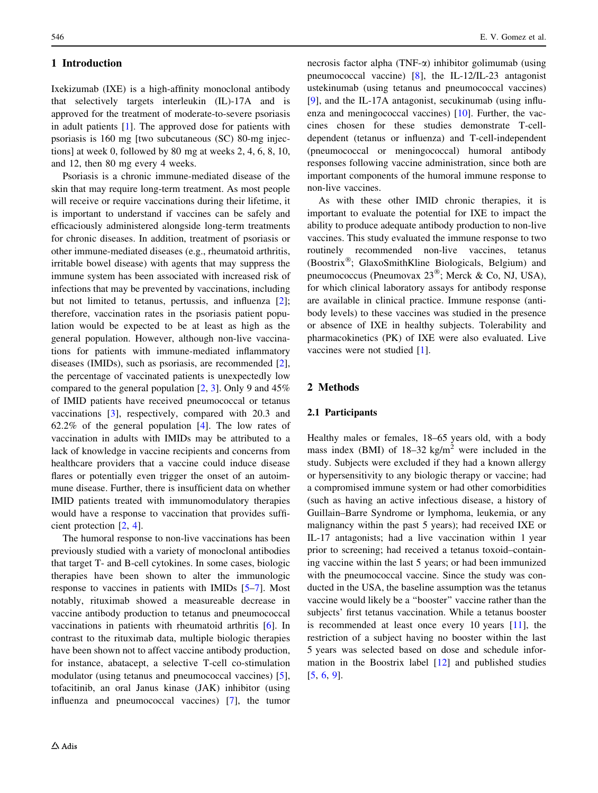## 1 Introduction

Ixekizumab (IXE) is a high-affinity monoclonal antibody that selectively targets interleukin (IL)-17A and is approved for the treatment of moderate-to-severe psoriasis in adult patients [\[1](#page-8-0)]. The approved dose for patients with psoriasis is 160 mg [two subcutaneous (SC) 80-mg injections] at week 0, followed by 80 mg at weeks 2, 4, 6, 8, 10, and 12, then 80 mg every 4 weeks.

Psoriasis is a chronic immune-mediated disease of the skin that may require long-term treatment. As most people will receive or require vaccinations during their lifetime, it is important to understand if vaccines can be safely and efficaciously administered alongside long-term treatments for chronic diseases. In addition, treatment of psoriasis or other immune-mediated diseases (e.g., rheumatoid arthritis, irritable bowel disease) with agents that may suppress the immune system has been associated with increased risk of infections that may be prevented by vaccinations, including but not limited to tetanus, pertussis, and influenza [[2](#page-8-0)]; therefore, vaccination rates in the psoriasis patient population would be expected to be at least as high as the general population. However, although non-live vaccinations for patients with immune-mediated inflammatory diseases (IMIDs), such as psoriasis, are recommended [\[2](#page-8-0)], the percentage of vaccinated patients is unexpectedly low compared to the general population  $[2, 3]$  $[2, 3]$  $[2, 3]$  $[2, 3]$ . Only 9 and 45% of IMID patients have received pneumococcal or tetanus vaccinations [\[3](#page-8-0)], respectively, compared with 20.3 and 62.2% of the general population [\[4](#page-8-0)]. The low rates of vaccination in adults with IMIDs may be attributed to a lack of knowledge in vaccine recipients and concerns from healthcare providers that a vaccine could induce disease flares or potentially even trigger the onset of an autoimmune disease. Further, there is insufficient data on whether IMID patients treated with immunomodulatory therapies would have a response to vaccination that provides sufficient protection [\[2](#page-8-0), [4\]](#page-8-0).

The humoral response to non-live vaccinations has been previously studied with a variety of monoclonal antibodies that target T- and B-cell cytokines. In some cases, biologic therapies have been shown to alter the immunologic response to vaccines in patients with IMIDs [[5–7\]](#page-8-0). Most notably, rituximab showed a measureable decrease in vaccine antibody production to tetanus and pneumococcal vaccinations in patients with rheumatoid arthritis [\[6](#page-8-0)]. In contrast to the rituximab data, multiple biologic therapies have been shown not to affect vaccine antibody production, for instance, abatacept, a selective T-cell co-stimulation modulator (using tetanus and pneumococcal vaccines) [\[5](#page-8-0)], tofacitinib, an oral Janus kinase (JAK) inhibitor (using influenza and pneumococcal vaccines) [[7\]](#page-8-0), the tumor necrosis factor alpha (TNF- $\alpha$ ) inhibitor golimumab (using pneumococcal vaccine) [\[8\]](#page-8-0), the IL-12/IL-23 antagonist ustekinumab (using tetanus and pneumococcal vaccines) [\[9](#page-9-0)], and the IL-17A antagonist, secukinumab (using influenza and meningococcal vaccines) [[10\]](#page-9-0). Further, the vaccines chosen for these studies demonstrate T-celldependent (tetanus or influenza) and T-cell-independent (pneumococcal or meningococcal) humoral antibody responses following vaccine administration, since both are important components of the humoral immune response to non-live vaccines.

As with these other IMID chronic therapies, it is important to evaluate the potential for IXE to impact the ability to produce adequate antibody production to non-live vaccines. This study evaluated the immune response to two routinely recommended non-live vaccines, tetanus (Boostrix®; GlaxoSmithKline Biologicals, Belgium) and pneumococcus (Pneumovax  $23^{\circledcirc}$ ; Merck & Co, NJ, USA), for which clinical laboratory assays for antibody response are available in clinical practice. Immune response (antibody levels) to these vaccines was studied in the presence or absence of IXE in healthy subjects. Tolerability and pharmacokinetics (PK) of IXE were also evaluated. Live vaccines were not studied [\[1](#page-8-0)].

## 2 Methods

#### 2.1 Participants

Healthy males or females, 18–65 years old, with a body mass index (BMI) of  $18-32$  kg/m<sup>2</sup> were included in the study. Subjects were excluded if they had a known allergy or hypersensitivity to any biologic therapy or vaccine; had a compromised immune system or had other comorbidities (such as having an active infectious disease, a history of Guillain–Barre Syndrome or lymphoma, leukemia, or any malignancy within the past 5 years); had received IXE or IL-17 antagonists; had a live vaccination within 1 year prior to screening; had received a tetanus toxoid–containing vaccine within the last 5 years; or had been immunized with the pneumococcal vaccine. Since the study was conducted in the USA, the baseline assumption was the tetanus vaccine would likely be a ''booster'' vaccine rather than the subjects' first tetanus vaccination. While a tetanus booster is recommended at least once every 10 years [[11\]](#page-9-0), the restriction of a subject having no booster within the last 5 years was selected based on dose and schedule information in the Boostrix label [\[12](#page-9-0)] and published studies [\[5](#page-8-0), [6](#page-8-0), [9](#page-9-0)].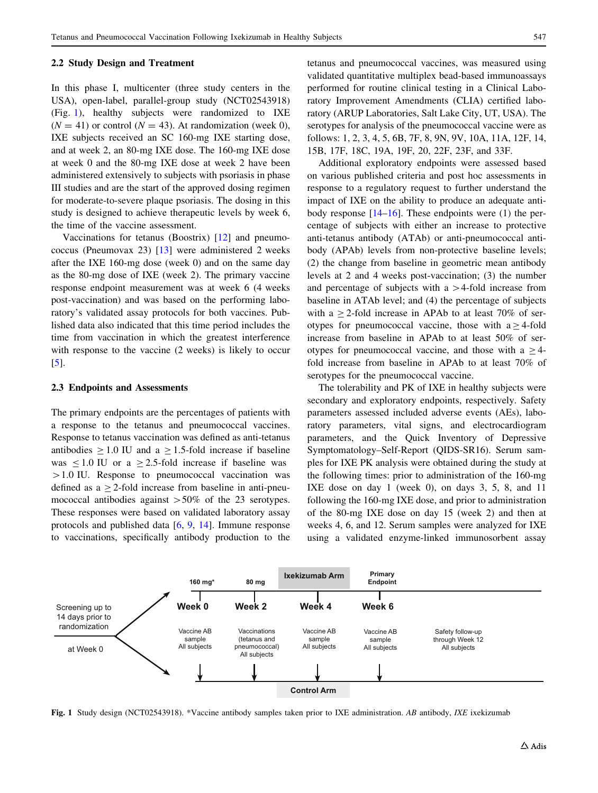#### <span id="page-2-0"></span>2.2 Study Design and Treatment

In this phase I, multicenter (three study centers in the USA), open-label, parallel-group study (NCT02543918) (Fig. 1), healthy subjects were randomized to IXE  $(N = 41)$  or control  $(N = 43)$ . At randomization (week 0), IXE subjects received an SC 160-mg IXE starting dose, and at week 2, an 80-mg IXE dose. The 160-mg IXE dose at week 0 and the 80-mg IXE dose at week 2 have been administered extensively to subjects with psoriasis in phase III studies and are the start of the approved dosing regimen for moderate-to-severe plaque psoriasis. The dosing in this study is designed to achieve therapeutic levels by week 6, the time of the vaccine assessment.

Vaccinations for tetanus (Boostrix) [[12\]](#page-9-0) and pneumococcus (Pneumovax 23) [\[13](#page-9-0)] were administered 2 weeks after the IXE 160-mg dose (week 0) and on the same day as the 80-mg dose of IXE (week 2). The primary vaccine response endpoint measurement was at week 6 (4 weeks post-vaccination) and was based on the performing laboratory's validated assay protocols for both vaccines. Published data also indicated that this time period includes the time from vaccination in which the greatest interference with response to the vaccine (2 weeks) is likely to occur [\[5](#page-8-0)].

#### 2.3 Endpoints and Assessments

The primary endpoints are the percentages of patients with a response to the tetanus and pneumococcal vaccines. Response to tetanus vaccination was defined as anti-tetanus antibodies  $\geq 1.0$  IU and a  $\geq 1.5$ -fold increase if baseline was  $\le$  1.0 IU or a  $\ge$  2.5-fold increase if baseline was  $>1.0$  IU. Response to pneumococcal vaccination was defined as  $a > 2$ -fold increase from baseline in anti-pneumococcal antibodies against  $> 50\%$  of the 23 serotypes. These responses were based on validated laboratory assay protocols and published data [[6,](#page-8-0) [9,](#page-9-0) [14\]](#page-9-0). Immune response to vaccinations, specifically antibody production to the tetanus and pneumococcal vaccines, was measured using validated quantitative multiplex bead-based immunoassays performed for routine clinical testing in a Clinical Laboratory Improvement Amendments (CLIA) certified laboratory (ARUP Laboratories, Salt Lake City, UT, USA). The serotypes for analysis of the pneumococcal vaccine were as follows: 1, 2, 3, 4, 5, 6B, 7F, 8, 9N, 9V, 10A, 11A, 12F, 14, 15B, 17F, 18C, 19A, 19F, 20, 22F, 23F, and 33F.

Additional exploratory endpoints were assessed based on various published criteria and post hoc assessments in response to a regulatory request to further understand the impact of IXE on the ability to produce an adequate antibody response  $[14–16]$  $[14–16]$ . These endpoints were  $(1)$  the percentage of subjects with either an increase to protective anti-tetanus antibody (ATAb) or anti-pneumococcal antibody (APAb) levels from non-protective baseline levels; (2) the change from baseline in geometric mean antibody levels at 2 and 4 weeks post-vaccination; (3) the number and percentage of subjects with a  $>$ 4-fold increase from baseline in ATAb level; and (4) the percentage of subjects with a  $>$  2-fold increase in APAb to at least 70% of serotypes for pneumococcal vaccine, those with  $a > 4$ -fold increase from baseline in APAb to at least 50% of serotypes for pneumococcal vaccine, and those with a  $\geq$  4fold increase from baseline in APAb to at least 70% of serotypes for the pneumococcal vaccine.

The tolerability and PK of IXE in healthy subjects were secondary and exploratory endpoints, respectively. Safety parameters assessed included adverse events (AEs), laboratory parameters, vital signs, and electrocardiogram parameters, and the Quick Inventory of Depressive Symptomatology–Self-Report (QIDS-SR16). Serum samples for IXE PK analysis were obtained during the study at the following times: prior to administration of the 160-mg IXE dose on day 1 (week 0), on days 3, 5, 8, and 11 following the 160-mg IXE dose, and prior to administration of the 80-mg IXE dose on day 15 (week 2) and then at weeks 4, 6, and 12. Serum samples were analyzed for IXE using a validated enzyme-linked immunosorbent assay



Fig. 1 Study design (NCT02543918). \*Vaccine antibody samples taken prior to IXE administration. AB antibody, IXE ixekizumab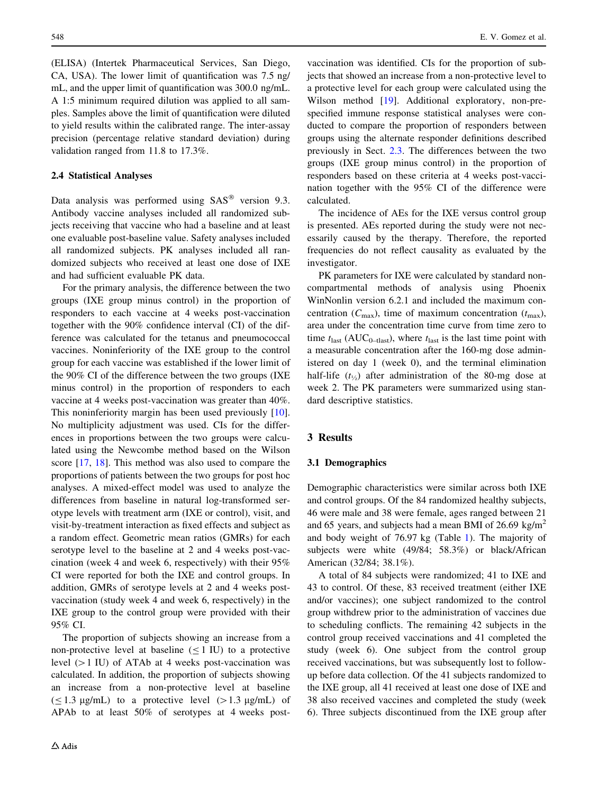(ELISA) (Intertek Pharmaceutical Services, San Diego, CA, USA). The lower limit of quantification was 7.5 ng/ mL, and the upper limit of quantification was 300.0 ng/mL. A 1:5 minimum required dilution was applied to all samples. Samples above the limit of quantification were diluted to yield results within the calibrated range. The inter-assay precision (percentage relative standard deviation) during validation ranged from 11.8 to 17.3%.

## 2.4 Statistical Analyses

Data analysis was performed using  $SAS^{\circledast}$  version 9.3. Antibody vaccine analyses included all randomized subjects receiving that vaccine who had a baseline and at least one evaluable post-baseline value. Safety analyses included all randomized subjects. PK analyses included all randomized subjects who received at least one dose of IXE and had sufficient evaluable PK data.

For the primary analysis, the difference between the two groups (IXE group minus control) in the proportion of responders to each vaccine at 4 weeks post-vaccination together with the 90% confidence interval (CI) of the difference was calculated for the tetanus and pneumococcal vaccines. Noninferiority of the IXE group to the control group for each vaccine was established if the lower limit of the 90% CI of the difference between the two groups (IXE minus control) in the proportion of responders to each vaccine at 4 weeks post-vaccination was greater than 40%. This noninferiority margin has been used previously [\[10](#page-9-0)]. No multiplicity adjustment was used. CIs for the differences in proportions between the two groups were calculated using the Newcombe method based on the Wilson score [[17,](#page-9-0) [18\]](#page-9-0). This method was also used to compare the proportions of patients between the two groups for post hoc analyses. A mixed-effect model was used to analyze the differences from baseline in natural log-transformed serotype levels with treatment arm (IXE or control), visit, and visit-by-treatment interaction as fixed effects and subject as a random effect. Geometric mean ratios (GMRs) for each serotype level to the baseline at 2 and 4 weeks post-vaccination (week 4 and week 6, respectively) with their 95% CI were reported for both the IXE and control groups. In addition, GMRs of serotype levels at 2 and 4 weeks postvaccination (study week 4 and week 6, respectively) in the IXE group to the control group were provided with their 95% CI.

The proportion of subjects showing an increase from a non-protective level at baseline  $(\leq 1 \text{ IU})$  to a protective level  $(>1 \text{ IU})$  of ATAb at 4 weeks post-vaccination was calculated. In addition, the proportion of subjects showing an increase from a non-protective level at baseline  $(\leq 1.3 \text{ µg/mL})$  to a protective level  $(>1.3 \text{ µg/mL})$  of APAb to at least 50% of serotypes at 4 weeks post-

vaccination was identified. CIs for the proportion of subjects that showed an increase from a non-protective level to a protective level for each group were calculated using the Wilson method [\[19](#page-9-0)]. Additional exploratory, non-prespecified immune response statistical analyses were conducted to compare the proportion of responders between groups using the alternate responder definitions described previously in Sect. [2.3.](#page-2-0) The differences between the two groups (IXE group minus control) in the proportion of responders based on these criteria at 4 weeks post-vaccination together with the 95% CI of the difference were calculated.

The incidence of AEs for the IXE versus control group is presented. AEs reported during the study were not necessarily caused by the therapy. Therefore, the reported frequencies do not reflect causality as evaluated by the investigator.

PK parameters for IXE were calculated by standard noncompartmental methods of analysis using Phoenix WinNonlin version 6.2.1 and included the maximum concentration ( $C_{\text{max}}$ ), time of maximum concentration ( $t_{\text{max}}$ ), area under the concentration time curve from time zero to time  $t_{\text{last}}$  (AUC<sub>0–tlast</sub>), where  $t_{\text{last}}$  is the last time point with a measurable concentration after the 160-mg dose administered on day 1 (week 0), and the terminal elimination half-life  $(t_{\frac{1}{2}})$  after administration of the 80-mg dose at week 2. The PK parameters were summarized using standard descriptive statistics.

## 3 Results

### 3.1 Demographics

Demographic characteristics were similar across both IXE and control groups. Of the 84 randomized healthy subjects, 46 were male and 38 were female, ages ranged between 21 and 65 years, and subjects had a mean BMI of  $26.69 \text{ kg/m}^2$ and body weight of 76.97 kg (Table [1\)](#page-4-0). The majority of subjects were white (49/84; 58.3%) or black/African American (32/84; 38.1%).

A total of 84 subjects were randomized; 41 to IXE and 43 to control. Of these, 83 received treatment (either IXE and/or vaccines); one subject randomized to the control group withdrew prior to the administration of vaccines due to scheduling conflicts. The remaining 42 subjects in the control group received vaccinations and 41 completed the study (week 6). One subject from the control group received vaccinations, but was subsequently lost to followup before data collection. Of the 41 subjects randomized to the IXE group, all 41 received at least one dose of IXE and 38 also received vaccines and completed the study (week 6). Three subjects discontinued from the IXE group after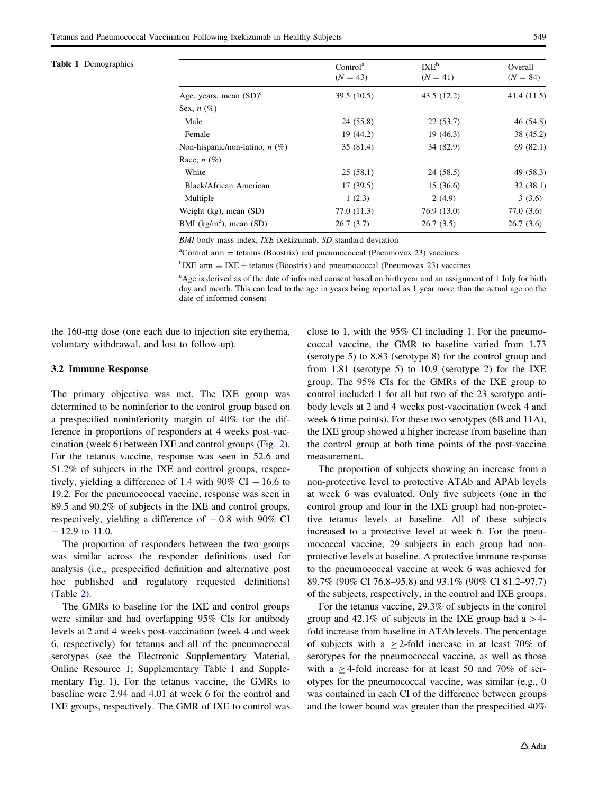<span id="page-4-0"></span>Table 1 Demographics

|                                    | Control <sup>a</sup><br>$(N = 43)$ | IXE <sup>b</sup><br>$(N = 41)$ | Overall<br>$(N = 84)$ |  |
|------------------------------------|------------------------------------|--------------------------------|-----------------------|--|
| Age, years, mean $(SD)^c$          | 39.5(10.5)                         | 43.5 (12.2)                    | 41.4(11.5)            |  |
| Sex, $n$ (%)                       |                                    |                                |                       |  |
| Male                               | 24 (55.8)                          | 22(53.7)                       | 46 (54.8)             |  |
| Female                             | 19 (44.2)                          | 19(46.3)                       | 38 (45.2)             |  |
| Non-hispanic/non-latino, $n$ (%)   | 35(81.4)                           | 34 (82.9)                      | 69(82.1)              |  |
| Race, $n(\%)$                      |                                    |                                |                       |  |
| White                              | 25(58.1)                           | 24 (58.5)                      | 49 (58.3)             |  |
| Black/African American             | 17(39.5)                           | 15(36.6)                       | 32(38.1)              |  |
| Multiple                           | 1(2.3)                             | 2(4.9)                         | 3(3.6)                |  |
| Weight (kg), mean (SD)             | 77.0 (11.3)                        | 76.9 (13.0)                    | 77.0(3.6)             |  |
| BMI ( $\text{kg/m}^2$ ), mean (SD) | 26.7(3.7)                          | 26.7(3.5)                      | 26.7(3.6)             |  |
|                                    |                                    |                                |                       |  |

BMI body mass index, IXE ixekizumab, SD standard deviation

 ${}^{\text{a}}$ Control arm = tetanus (Boostrix) and pneumococcal (Pneumovax 23) vaccines

 ${}^{b}$ IXE arm = IXE + tetanus (Boostrix) and pneumococcal (Pneumovax 23) vaccines

<sup>c</sup>Age is derived as of the date of informed consent based on birth year and an assignment of 1 July for birth day and month. This can lead to the age in years being reported as 1 year more than the actual age on the date of informed consent

the 160-mg dose (one each due to injection site erythema, voluntary withdrawal, and lost to follow-up).

#### 3.2 Immune Response

The primary objective was met. The IXE group was determined to be noninferior to the control group based on a prespecified noninferiority margin of 40% for the difference in proportions of responders at 4 weeks post-vaccination (week 6) between IXE and control groups (Fig. [2](#page-5-0)). For the tetanus vaccine, response was seen in 52.6 and 51.2% of subjects in the IXE and control groups, respectively, yielding a difference of 1.4 with 90% CI  $-16.6$  to 19.2. For the pneumococcal vaccine, response was seen in 89.5 and 90.2% of subjects in the IXE and control groups, respectively, yielding a difference of  $-0.8$  with 90% CI  $- 12.9$  to 11.0.

The proportion of responders between the two groups was similar across the responder definitions used for analysis (i.e., prespecified definition and alternative post hoc published and regulatory requested definitions) (Table [2](#page-5-0)).

The GMRs to baseline for the IXE and control groups were similar and had overlapping 95% CIs for antibody levels at 2 and 4 weeks post-vaccination (week 4 and week 6, respectively) for tetanus and all of the pneumococcal serotypes (see the Electronic Supplementary Material, Online Resource 1; Supplementary Table 1 and Supplementary Fig. 1). For the tetanus vaccine, the GMRs to baseline were 2.94 and 4.01 at week 6 for the control and IXE groups, respectively. The GMR of IXE to control was

close to 1, with the 95% CI including 1. For the pneumococcal vaccine, the GMR to baseline varied from 1.73 (serotype 5) to 8.83 (serotype 8) for the control group and from 1.81 (serotype 5) to 10.9 (serotype 2) for the IXE group. The 95% CIs for the GMRs of the IXE group to control included 1 for all but two of the 23 serotype antibody levels at 2 and 4 weeks post-vaccination (week 4 and week 6 time points). For these two serotypes (6B and 11A), the IXE group showed a higher increase from baseline than the control group at both time points of the post-vaccine measurement.

The proportion of subjects showing an increase from a non-protective level to protective ATAb and APAb levels at week 6 was evaluated. Only five subjects (one in the control group and four in the IXE group) had non-protective tetanus levels at baseline. All of these subjects increased to a protective level at week 6. For the pneumococcal vaccine, 29 subjects in each group had nonprotective levels at baseline. A protective immune response to the pneumococcal vaccine at week 6 was achieved for 89.7% (90% CI 76.8–95.8) and 93.1% (90% CI 81.2–97.7) of the subjects, respectively, in the control and IXE groups.

For the tetanus vaccine, 29.3% of subjects in the control group and 42.1% of subjects in the IXE group had a  $>4$ fold increase from baseline in ATAb levels. The percentage of subjects with a  $\geq$  2-fold increase in at least 70% of serotypes for the pneumococcal vaccine, as well as those with a  $\geq$  4-fold increase for at least 50 and 70% of serotypes for the pneumococcal vaccine, was similar (e.g., 0 was contained in each CI of the difference between groups and the lower bound was greater than the prespecified 40%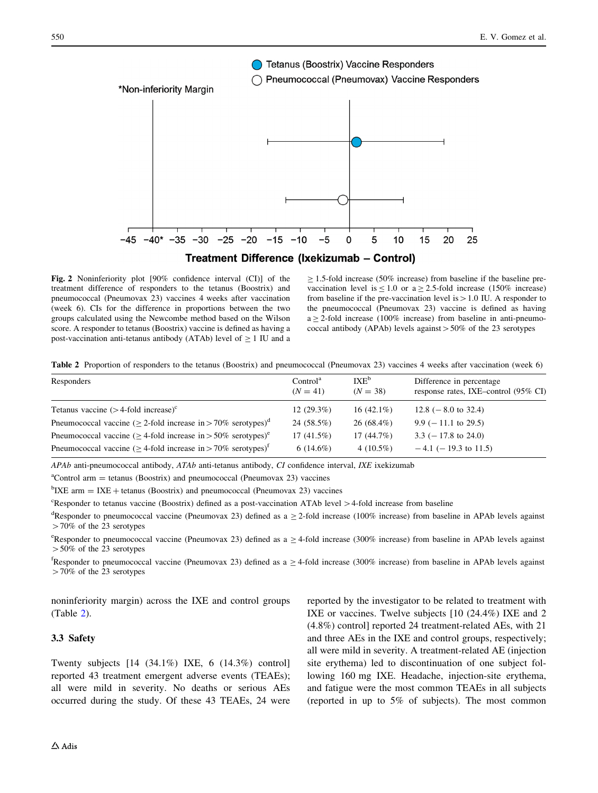<span id="page-5-0"></span>

Fig. 2 Noninferiority plot [90% confidence interval (CI)] of the treatment difference of responders to the tetanus (Boostrix) and pneumococcal (Pneumovax 23) vaccines 4 weeks after vaccination (week 6). CIs for the difference in proportions between the two groups calculated using the Newcombe method based on the Wilson score. A responder to tetanus (Boostrix) vaccine is defined as having a post-vaccination anti-tetanus antibody (ATAb) level of  $\geq 1$  IU and a  $\geq$  1.5-fold increase (50% increase) from baseline if the baseline prevaccination level is  $\le$  1.0 or a  $\ge$  2.5-fold increase (150% increase) from baseline if the pre-vaccination level is  $> 1.0$  IU. A responder to the pneumococcal (Pneumovax 23) vaccine is defined as having  $a \geq 2$ -fold increase (100% increase) from baseline in anti-pneumococcal antibody (APAb) levels against  $> 50\%$  of the 23 serotypes

Table 2 Proportion of responders to the tetanus (Boostrix) and pneumococcal (Pneumovax 23) vaccines 4 weeks after vaccination (week 6)

| Responders                                                                                   | Control <sup>a</sup><br>$(N = 41)$ | IXE <sup>b</sup><br>$(N = 38)$ | Difference in percentage<br>response rates, IXE-control (95% CI) |
|----------------------------------------------------------------------------------------------|------------------------------------|--------------------------------|------------------------------------------------------------------|
| Tetanus vaccine $(>4$ -fold increase) <sup>c</sup>                                           | $12(29.3\%)$                       | $16(42.1\%)$                   | 12.8 $(-8.0 \text{ to } 32.4)$                                   |
| Pneumococcal vaccine (> 2-fold increase in > 70% serotypes) <sup><math>d</math></sup>        | $24(58.5\%)$                       | $26(68.4\%)$                   | $9.9$ (-11.1 to 29.5)                                            |
| Pneumococcal vaccine (> 4-fold increase in > $50\%$ serotypes) <sup>e</sup>                  | $17(41.5\%)$                       | 17(44.7%)                      | $3.3$ (-17.8 to 24.0)                                            |
| Pneumococcal vaccine (> 4-fold increase in > 70% serotypes) <sup><math>\text{f}</math></sup> | $6(14.6\%)$                        | $4(10.5\%)$                    | $-4.1$ ( $-19.3$ to 11.5)                                        |

APAb anti-pneumococcal antibody, ATAb anti-tetanus antibody, CI confidence interval, IXE ixekizumab

<sup>a</sup>Control arm = tetanus (Boostrix) and pneumococcal (Pneumovax 23) vaccines

 ${}^{b}$  IXE arm = IXE + tetanus (Boostrix) and pneumococcal (Pneumovax 23) vaccines

<sup>c</sup>Responder to tetanus vaccine (Boostrix) defined as a post-vaccination ATAb level > 4-fold increase from baseline

<sup>d</sup>Responder to pneumococcal vaccine (Pneumovax 23) defined as a  $\geq$  2-fold increase (100% increase) from baseline in APAb levels against  $>70\%$  of the 23 serotypes

<sup>e</sup>Responder to pneumococcal vaccine (Pneumovax 23) defined as a  $\geq$  4-fold increase (300% increase) from baseline in APAb levels against  $> 50\%$  of the 23 serotypes

<sup>f</sup>Responder to pneumococcal vaccine (Pneumovax 23) defined as a  $\geq$  4-fold increase (300% increase) from baseline in APAb levels against  $>70\%$  of the 23 serotypes

noninferiority margin) across the IXE and control groups (Table 2).

## 3.3 Safety

Twenty subjects [14 (34.1%) IXE, 6 (14.3%) control] reported 43 treatment emergent adverse events (TEAEs); all were mild in severity. No deaths or serious AEs occurred during the study. Of these 43 TEAEs, 24 were reported by the investigator to be related to treatment with IXE or vaccines. Twelve subjects [10 (24.4%) IXE and 2 (4.8%) control] reported 24 treatment-related AEs, with 21 and three AEs in the IXE and control groups, respectively; all were mild in severity. A treatment-related AE (injection site erythema) led to discontinuation of one subject following 160 mg IXE. Headache, injection-site erythema, and fatigue were the most common TEAEs in all subjects (reported in up to 5% of subjects). The most common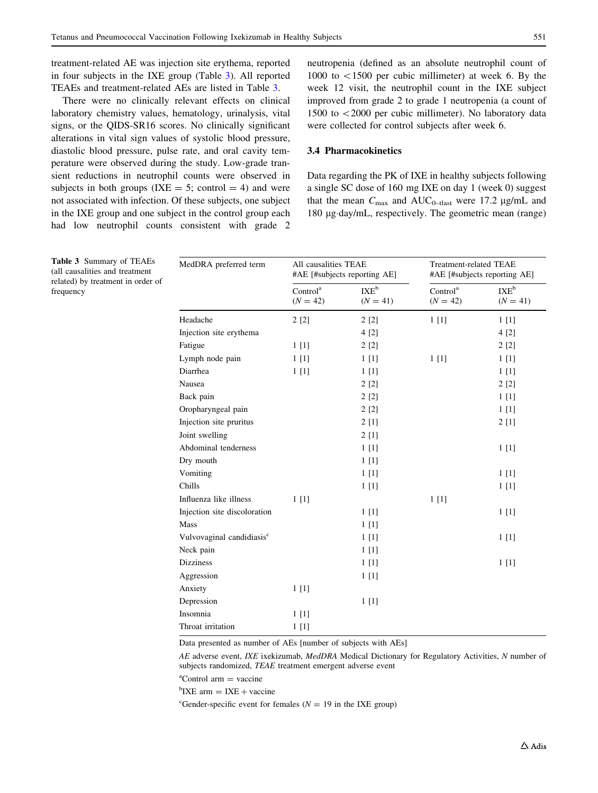treatment-related AE was injection site erythema, reported in four subjects in the IXE group (Table 3). All reported TEAEs and treatment-related AEs are listed in Table 3.

There were no clinically relevant effects on clinical laboratory chemistry values, hematology, urinalysis, vital signs, or the QIDS-SR16 scores. No clinically significant alterations in vital sign values of systolic blood pressure, diastolic blood pressure, pulse rate, and oral cavity temperature were observed during the study. Low-grade transient reductions in neutrophil counts were observed in subjects in both groups ( $IXE = 5$ ; control = 4) and were not associated with infection. Of these subjects, one subject in the IXE group and one subject in the control group each had low neutrophil counts consistent with grade 2

Table 3 Summary of TEAEs (all causalities and treatment related) by treatment in order of

frequency

neutropenia (defined as an absolute neutrophil count of 1000 to  $\langle 1500 \rangle$  per cubic millimeter) at week 6. By the week 12 visit, the neutrophil count in the IXE subject improved from grade 2 to grade 1 neutropenia (a count of 1500 to  $\langle 2000 \rangle$  per cubic millimeter). No laboratory data were collected for control subjects after week 6.

## 3.4 Pharmacokinetics

Data regarding the PK of IXE in healthy subjects following a single SC dose of 160 mg IXE on day 1 (week 0) suggest that the mean  $C_{\text{max}}$  and  $\text{AUC}_{0-\text{blast}}$  were 17.2 µg/mL and 180 lg-day/mL, respectively. The geometric mean (range)

| $IXE^b$<br>$IXE^b$<br>Control <sup>a</sup><br>Control <sup>a</sup><br>$(N = 42)$<br>$(N = 41)$<br>$(N = 42)$<br>Headache<br>2[2]<br>2[2]<br>1[1]<br>1[1]<br>Injection site erythema<br>4 [2]<br>4[2]<br>Fatigue<br>2[2]<br>2[2]<br>1[1]<br>Lymph node pain<br>1[1]<br>1[1]<br>1[1]<br>1[1]<br>Diarrhea<br>1[1]<br>1[1]<br>1[1]<br>Nausea<br>2[2]<br>2[2]<br>Back pain<br>2[2]<br>1[1]<br>Oropharyngeal pain<br>2[2]<br>1[1]<br>Injection site pruritus<br>2[1]<br>2[1]<br>Joint swelling<br>2 [1]<br>Abdominal tenderness<br>1[1]<br>1[1]<br>Dry mouth<br>1[1]<br>Vomiting<br>1[1]<br>1[1]<br>Chills<br>1[1]<br>1[1]<br>Influenza like illness<br>1[1]<br>1[1]<br>Injection site discoloration<br>1[1]<br>1[1]<br>Mass<br>1[1]<br>Vulvovaginal candidiasis <sup>c</sup><br>1[1]<br>1[1]<br>Neck pain<br>1[1]<br><b>Dizziness</b><br>1[1]<br>1[1]<br>Aggression<br>1[1]<br>Anxiety<br>1[1]<br>Depression<br>1[1]<br>Insomnia | MedDRA preferred term | All causalities TEAE<br>#AE [#subjects reporting AE] |  | Treatment-related TEAE<br>#AE [#subjects reporting AE] |            |
|-----------------------------------------------------------------------------------------------------------------------------------------------------------------------------------------------------------------------------------------------------------------------------------------------------------------------------------------------------------------------------------------------------------------------------------------------------------------------------------------------------------------------------------------------------------------------------------------------------------------------------------------------------------------------------------------------------------------------------------------------------------------------------------------------------------------------------------------------------------------------------------------------------------------------------|-----------------------|------------------------------------------------------|--|--------------------------------------------------------|------------|
|                                                                                                                                                                                                                                                                                                                                                                                                                                                                                                                                                                                                                                                                                                                                                                                                                                                                                                                             |                       |                                                      |  |                                                        | $(N = 41)$ |
|                                                                                                                                                                                                                                                                                                                                                                                                                                                                                                                                                                                                                                                                                                                                                                                                                                                                                                                             |                       |                                                      |  |                                                        |            |
|                                                                                                                                                                                                                                                                                                                                                                                                                                                                                                                                                                                                                                                                                                                                                                                                                                                                                                                             |                       |                                                      |  |                                                        |            |
|                                                                                                                                                                                                                                                                                                                                                                                                                                                                                                                                                                                                                                                                                                                                                                                                                                                                                                                             |                       |                                                      |  |                                                        |            |
|                                                                                                                                                                                                                                                                                                                                                                                                                                                                                                                                                                                                                                                                                                                                                                                                                                                                                                                             |                       |                                                      |  |                                                        |            |
|                                                                                                                                                                                                                                                                                                                                                                                                                                                                                                                                                                                                                                                                                                                                                                                                                                                                                                                             |                       |                                                      |  |                                                        |            |
|                                                                                                                                                                                                                                                                                                                                                                                                                                                                                                                                                                                                                                                                                                                                                                                                                                                                                                                             |                       |                                                      |  |                                                        |            |
|                                                                                                                                                                                                                                                                                                                                                                                                                                                                                                                                                                                                                                                                                                                                                                                                                                                                                                                             |                       |                                                      |  |                                                        |            |
|                                                                                                                                                                                                                                                                                                                                                                                                                                                                                                                                                                                                                                                                                                                                                                                                                                                                                                                             |                       |                                                      |  |                                                        |            |
|                                                                                                                                                                                                                                                                                                                                                                                                                                                                                                                                                                                                                                                                                                                                                                                                                                                                                                                             |                       |                                                      |  |                                                        |            |
|                                                                                                                                                                                                                                                                                                                                                                                                                                                                                                                                                                                                                                                                                                                                                                                                                                                                                                                             |                       |                                                      |  |                                                        |            |
|                                                                                                                                                                                                                                                                                                                                                                                                                                                                                                                                                                                                                                                                                                                                                                                                                                                                                                                             |                       |                                                      |  |                                                        |            |
|                                                                                                                                                                                                                                                                                                                                                                                                                                                                                                                                                                                                                                                                                                                                                                                                                                                                                                                             |                       |                                                      |  |                                                        |            |
|                                                                                                                                                                                                                                                                                                                                                                                                                                                                                                                                                                                                                                                                                                                                                                                                                                                                                                                             |                       |                                                      |  |                                                        |            |
|                                                                                                                                                                                                                                                                                                                                                                                                                                                                                                                                                                                                                                                                                                                                                                                                                                                                                                                             |                       |                                                      |  |                                                        |            |
|                                                                                                                                                                                                                                                                                                                                                                                                                                                                                                                                                                                                                                                                                                                                                                                                                                                                                                                             |                       |                                                      |  |                                                        |            |
|                                                                                                                                                                                                                                                                                                                                                                                                                                                                                                                                                                                                                                                                                                                                                                                                                                                                                                                             |                       |                                                      |  |                                                        |            |
|                                                                                                                                                                                                                                                                                                                                                                                                                                                                                                                                                                                                                                                                                                                                                                                                                                                                                                                             |                       |                                                      |  |                                                        |            |
|                                                                                                                                                                                                                                                                                                                                                                                                                                                                                                                                                                                                                                                                                                                                                                                                                                                                                                                             |                       |                                                      |  |                                                        |            |
|                                                                                                                                                                                                                                                                                                                                                                                                                                                                                                                                                                                                                                                                                                                                                                                                                                                                                                                             |                       |                                                      |  |                                                        |            |
|                                                                                                                                                                                                                                                                                                                                                                                                                                                                                                                                                                                                                                                                                                                                                                                                                                                                                                                             |                       |                                                      |  |                                                        |            |
|                                                                                                                                                                                                                                                                                                                                                                                                                                                                                                                                                                                                                                                                                                                                                                                                                                                                                                                             |                       |                                                      |  |                                                        |            |
|                                                                                                                                                                                                                                                                                                                                                                                                                                                                                                                                                                                                                                                                                                                                                                                                                                                                                                                             |                       |                                                      |  |                                                        |            |
|                                                                                                                                                                                                                                                                                                                                                                                                                                                                                                                                                                                                                                                                                                                                                                                                                                                                                                                             |                       |                                                      |  |                                                        |            |
|                                                                                                                                                                                                                                                                                                                                                                                                                                                                                                                                                                                                                                                                                                                                                                                                                                                                                                                             |                       | 1[1]                                                 |  |                                                        |            |
| Throat irritation<br>1[1]                                                                                                                                                                                                                                                                                                                                                                                                                                                                                                                                                                                                                                                                                                                                                                                                                                                                                                   |                       |                                                      |  |                                                        |            |

Data presented as number of AEs [number of subjects with AEs]

AE adverse event, IXE ixekizumab, MedDRA Medical Dictionary for Regulatory Activities, N number of subjects randomized, TEAE treatment emergent adverse event

 ${}^a$ Control arm = vaccine

 ${}^{b}$ IXE arm = IXE + vaccine

<sup>c</sup>Gender-specific event for females ( $N = 19$  in the IXE group)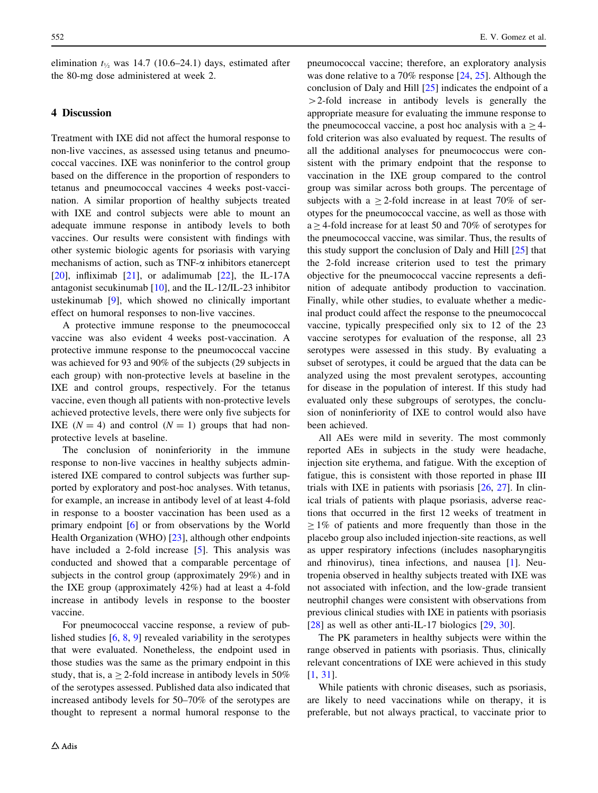elimination  $t_{\frac{1}{2}}$  was 14.7 (10.6–24.1) days, estimated after the 80-mg dose administered at week 2.

## 4 Discussion

Treatment with IXE did not affect the humoral response to non-live vaccines, as assessed using tetanus and pneumococcal vaccines. IXE was noninferior to the control group based on the difference in the proportion of responders to tetanus and pneumococcal vaccines 4 weeks post-vaccination. A similar proportion of healthy subjects treated with IXE and control subjects were able to mount an adequate immune response in antibody levels to both vaccines. Our results were consistent with findings with other systemic biologic agents for psoriasis with varying mechanisms of action, such as  $TNF-\alpha$  inhibitors etanercept [\[20](#page-9-0)], infliximab  $[21]$  $[21]$ , or adalimumab  $[22]$  $[22]$ , the IL-17A antagonist secukinumab [\[10](#page-9-0)], and the IL-12/IL-23 inhibitor ustekinumab [[9\]](#page-9-0), which showed no clinically important effect on humoral responses to non-live vaccines.

A protective immune response to the pneumococcal vaccine was also evident 4 weeks post-vaccination. A protective immune response to the pneumococcal vaccine was achieved for 93 and 90% of the subjects (29 subjects in each group) with non-protective levels at baseline in the IXE and control groups, respectively. For the tetanus vaccine, even though all patients with non-protective levels achieved protective levels, there were only five subjects for IXE  $(N = 4)$  and control  $(N = 1)$  groups that had nonprotective levels at baseline.

The conclusion of noninferiority in the immune response to non-live vaccines in healthy subjects administered IXE compared to control subjects was further supported by exploratory and post-hoc analyses. With tetanus, for example, an increase in antibody level of at least 4-fold in response to a booster vaccination has been used as a primary endpoint [\[6](#page-8-0)] or from observations by the World Health Organization (WHO) [\[23](#page-9-0)], although other endpoints have included a 2-fold increase [[5\]](#page-8-0). This analysis was conducted and showed that a comparable percentage of subjects in the control group (approximately 29%) and in the IXE group (approximately 42%) had at least a 4-fold increase in antibody levels in response to the booster vaccine.

For pneumococcal vaccine response, a review of published studies [[6,](#page-8-0) [8](#page-8-0), [9\]](#page-9-0) revealed variability in the serotypes that were evaluated. Nonetheless, the endpoint used in those studies was the same as the primary endpoint in this study, that is, a  $\geq$  2-fold increase in antibody levels in 50% of the serotypes assessed. Published data also indicated that increased antibody levels for 50–70% of the serotypes are thought to represent a normal humoral response to the pneumococcal vaccine; therefore, an exploratory analysis was done relative to a 70% response [\[24](#page-9-0), [25](#page-9-0)]. Although the conclusion of Daly and Hill [[25\]](#page-9-0) indicates the endpoint of a  $>$ 2-fold increase in antibody levels is generally the appropriate measure for evaluating the immune response to the pneumococcal vaccine, a post hoc analysis with  $a > 4$ fold criterion was also evaluated by request. The results of all the additional analyses for pneumococcus were consistent with the primary endpoint that the response to vaccination in the IXE group compared to the control group was similar across both groups. The percentage of subjects with a  $\geq$  2-fold increase in at least 70% of serotypes for the pneumococcal vaccine, as well as those with  $a \geq 4$ -fold increase for at least 50 and 70% of serotypes for the pneumococcal vaccine, was similar. Thus, the results of this study support the conclusion of Daly and Hill [\[25](#page-9-0)] that the 2-fold increase criterion used to test the primary objective for the pneumococcal vaccine represents a definition of adequate antibody production to vaccination. Finally, while other studies, to evaluate whether a medicinal product could affect the response to the pneumococcal vaccine, typically prespecified only six to 12 of the 23 vaccine serotypes for evaluation of the response, all 23 serotypes were assessed in this study. By evaluating a subset of serotypes, it could be argued that the data can be analyzed using the most prevalent serotypes, accounting for disease in the population of interest. If this study had evaluated only these subgroups of serotypes, the conclusion of noninferiority of IXE to control would also have been achieved.

All AEs were mild in severity. The most commonly reported AEs in subjects in the study were headache, injection site erythema, and fatigue. With the exception of fatigue, this is consistent with those reported in phase III trials with IXE in patients with psoriasis [\[26](#page-9-0), [27\]](#page-9-0). In clinical trials of patients with plaque psoriasis, adverse reactions that occurred in the first 12 weeks of treatment in  $\geq$  1% of patients and more frequently than those in the placebo group also included injection-site reactions, as well as upper respiratory infections (includes nasopharyngitis and rhinovirus), tinea infections, and nausea [[1\]](#page-8-0). Neutropenia observed in healthy subjects treated with IXE was not associated with infection, and the low-grade transient neutrophil changes were consistent with observations from previous clinical studies with IXE in patients with psoriasis  $[28]$  $[28]$  as well as other anti-IL-17 biologics  $[29, 30]$  $[29, 30]$  $[29, 30]$  $[29, 30]$ .

The PK parameters in healthy subjects were within the range observed in patients with psoriasis. Thus, clinically relevant concentrations of IXE were achieved in this study [\[1](#page-8-0), [31](#page-9-0)].

While patients with chronic diseases, such as psoriasis, are likely to need vaccinations while on therapy, it is preferable, but not always practical, to vaccinate prior to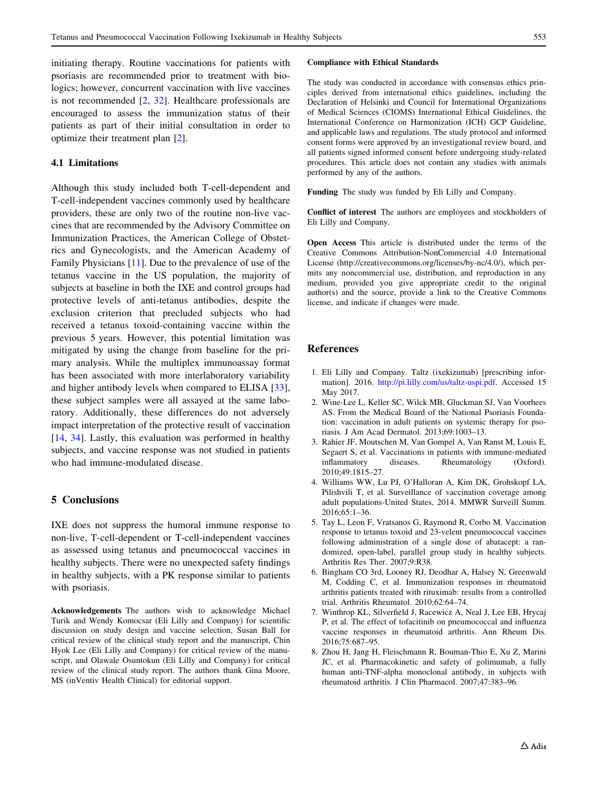<span id="page-8-0"></span>initiating therapy. Routine vaccinations for patients with psoriasis are recommended prior to treatment with biologics; however, concurrent vaccination with live vaccines is not recommended [2, [32](#page-9-0)]. Healthcare professionals are encouraged to assess the immunization status of their patients as part of their initial consultation in order to optimize their treatment plan [2].

## 4.1 Limitations

Although this study included both T-cell-dependent and T-cell-independent vaccines commonly used by healthcare providers, these are only two of the routine non-live vaccines that are recommended by the Advisory Committee on Immunization Practices, the American College of Obstetrics and Gynecologists, and the American Academy of Family Physicians [[11\]](#page-9-0). Due to the prevalence of use of the tetanus vaccine in the US population, the majority of subjects at baseline in both the IXE and control groups had protective levels of anti-tetanus antibodies, despite the exclusion criterion that precluded subjects who had received a tetanus toxoid-containing vaccine within the previous 5 years. However, this potential limitation was mitigated by using the change from baseline for the primary analysis. While the multiplex immunoassay format has been associated with more interlaboratory variability and higher antibody levels when compared to ELISA [\[33](#page-9-0)], these subject samples were all assayed at the same laboratory. Additionally, these differences do not adversely impact interpretation of the protective result of vaccination [\[14](#page-9-0), [34](#page-9-0)]. Lastly, this evaluation was performed in healthy subjects, and vaccine response was not studied in patients who had immune-modulated disease.

## 5 Conclusions

IXE does not suppress the humoral immune response to non-live, T-cell-dependent or T-cell-independent vaccines as assessed using tetanus and pneumococcal vaccines in healthy subjects. There were no unexpected safety findings in healthy subjects, with a PK response similar to patients with psoriasis.

Acknowledgements The authors wish to acknowledge Michael Turik and Wendy Komocsar (Eli Lilly and Company) for scientific discussion on study design and vaccine selection, Susan Ball for critical review of the clinical study report and the manuscript, Chin Hyok Lee (Eli Lilly and Company) for critical review of the manuscript, and Olawale Osuntokun (Eli Lilly and Company) for critical review of the clinical study report. The authors thank Gina Moore, MS (inVentiv Health Clinical) for editorial support.

#### Compliance with Ethical Standards

The study was conducted in accordance with consensus ethics principles derived from international ethics guidelines, including the Declaration of Helsinki and Council for International Organizations of Medical Sciences (CIOMS) International Ethical Guidelines, the International Conference on Harmonization (ICH) GCP Guideline, and applicable laws and regulations. The study protocol and informed consent forms were approved by an investigational review board, and all patients signed informed consent before undergoing study-related procedures. This article does not contain any studies with animals performed by any of the authors.

Funding The study was funded by Eli Lilly and Company.

Conflict of interest The authors are employees and stockholders of Eli Lilly and Company.

Open Access This article is distributed under the terms of the Creative Commons Attribution-NonCommercial 4.0 International License (http://creativecommons.org/licenses/by-nc/4.0/), which permits any noncommercial use, distribution, and reproduction in any medium, provided you give appropriate credit to the original author(s) and the source, provide a link to the Creative Commons license, and indicate if changes were made.

## References

- 1. Eli Lilly and Company. Taltz (ixekizumab) [prescribing information]. 2016. [http://pi.lilly.com/us/taltz-uspi.pdf.](http://pi.lilly.com/us/taltz-uspi.pdf) Accessed 15 May 2017.
- 2. Wine-Lee L, Keller SC, Wilck MB, Gluckman SJ, Van Voorhees AS. From the Medical Board of the National Psoriasis Foundation: vaccination in adult patients on systemic therapy for psoriasis. J Am Acad Dermatol. 2013;69:1003–13.
- 3. Rahier JF, Moutschen M, Van Gompel A, Van Ranst M, Louis E, Segaert S, et al. Vaccinations in patients with immune-mediated inflammatory diseases. Rheumatology (Oxford). 2010;49:1815–27.
- 4. Williams WW, Lu PJ, O'Halloran A, Kim DK, Grohskopf LA, Pilishvili T, et al. Surveillance of vaccination coverage among adult populations-United States, 2014. MMWR Surveill Summ. 2016;65:1–36.
- 5. Tay L, Leon F, Vratsanos G, Raymond R, Corbo M. Vaccination response to tetanus toxoid and 23-velent pneumococcal vaccines following administration of a single dose of abatacept: a randomized, open-label, parallel group study in healthy subjects. Arthritis Res Ther. 2007;9:R38.
- 6. Bingham CO 3rd, Looney RJ, Deodhar A, Halsey N, Greenwald M, Codding C, et al. Immunization responses in rheumatoid arthritis patients treated with rituximab: results from a controlled trial. Arthritis Rheumatol. 2010;62:64–74.
- 7. Winthrop KL, Silverfield J, Racewicz A, Neal J, Lee EB, Hrycaj P, et al. The effect of tofacitinib on pneumococcal and influenza vaccine responses in rheumatoid arthritis. Ann Rheum Dis. 2016;75:687–95.
- 8. Zhou H, Jang H, Fleischmann R, Bouman-Thio E, Xu Z, Marini JC, et al. Pharmacokinetic and safety of golimumab, a fully human anti-TNF-alpha monoclonal antibody, in subjects with rheumatoid arthritis. J Clin Pharmacol. 2007;47:383–96.